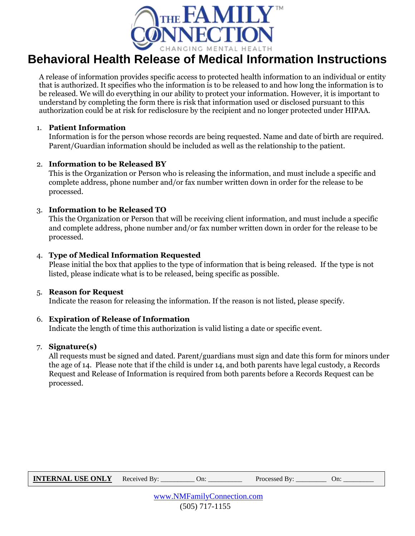

# **Behavioral Health Release of Medical Information Instructions**

A release of information provides specific access to protected health information to an individual or entity that is authorized. It specifies who the information is to be released to and how long the information is to be released. We will do everything in our ability to protect your information. However, it is important to understand by completing the form there is risk that information used or disclosed pursuant to this authorization could be at risk for redisclosure by the recipient and no longer protected under HIPAA.

### 1. **Patient Information**

Information is for the person whose records are being requested. Name and date of birth are required. Parent/Guardian information should be included as well as the relationship to the patient.

## 2. **Information to be Released BY**

This is the Organization or Person who is releasing the information, and must include a specific and complete address, phone number and/or fax number written down in order for the release to be processed.

## 3. **Information to be Released TO**

This the Organization or Person that will be receiving client information, and must include a specific and complete address, phone number and/or fax number written down in order for the release to be processed.

## 4. **Type of Medical Information Requested**

Please initial the box that applies to the type of information that is being released. If the type is not listed, please indicate what is to be released, being specific as possible.

#### 5. **Reason for Request**

Indicate the reason for releasing the information. If the reason is not listed, please specify.

#### 6. **Expiration of Release of Information**

Indicate the length of time this authorization is valid listing a date or specific event.

## 7. **Signature(s)**

All requests must be signed and dated. Parent/guardians must sign and date this form for minors under the age of 14. Please note that if the child is under 14, and both parents have legal custody, a Records Request and Release of Information is required from both parents before a Records Request can be processed.

| <b>INTERNAL USE ONLY</b> Received By: ___________ On: |  |                  | Processed By: On: |  |  |  |  |
|-------------------------------------------------------|--|------------------|-------------------|--|--|--|--|
| www.NMFamilyConnection.com                            |  |                  |                   |  |  |  |  |
|                                                       |  | $(505)$ 717-1155 |                   |  |  |  |  |